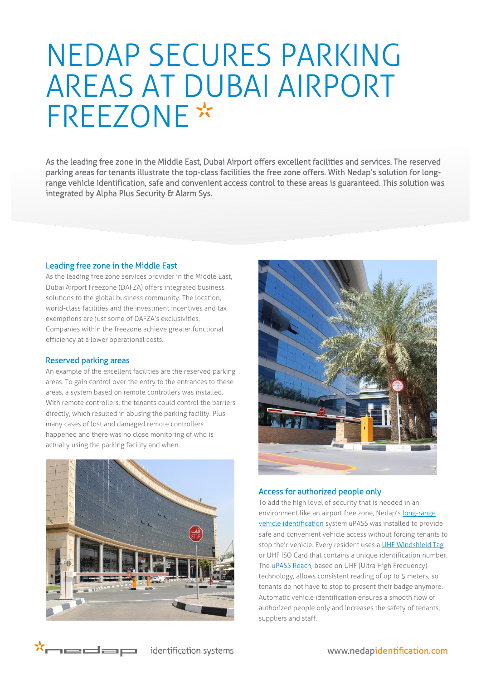# NEDAP SECURES PARKING AREAS AT DUBAI AIRPORT **FREEZONE\***

As the leading free zone in the Middle East, Dubai Airport offers excellent facilities and services. The reserved parking areas for tenants illustrate the top-class facilities the free zone offers. With Nedap's solution for longrange vehicle identification, safe and convenient access control to these areas is guaranteed. This solution was integrated by Alpha Plus Security & Alarm Sys.

#### Leading free zone in the Middle East

As the leading free zone services provider in the Middle East, Dubai Airport Freezone (DAFZA) offers integrated business solutions to the global business community. The location, world-class facilities and the investment incentives and tax exemptions are just some of DAFZA's exclusivities. Companies within the freezone achieve greater functional efficiency at a lower operational costs.

#### Reserved parking areas

\*medap

An example of the excellent facilities are the reserved parking areas. To gain control over the entry to the entrances to these areas, a system based on remote controllers was installed. With remote controllers, the tenants could control the barriers directly, which resulted in abusing the parking facility. Plus many cases of lost and damaged remote controllers happened and there was no close monitoring of who is actually using the parking facility and when.





### Access for authorized people only

To add the high level of security that is needed in an environment like an airport free zone, Nedap's [long-range](http://www.nedapidentification.com/solutions/vehicle-identification/)  [vehicle identification](http://www.nedapidentification.com/solutions/vehicle-identification/) system uPASS was installed to provide safe and convenient vehicle access without forcing tenants to stop their vehicle. Every resident uses [a UHF Windshield Tag](http://www.nedapidentification.com/products/uhf-readers-and-tags/uhf-windshield-tag.html) or UHF ISO Card that contains a unique identification number. The **uPASS Reach**, based on UHF (Ultra High Frequency) technology, allows consistent reading of up to 5 meters, so tenants do not have to stop to present their badge anymore. Automatic vehicle identification ensures a smooth flow of authorized people only and increases the safety of tenants, suppliers and staff.